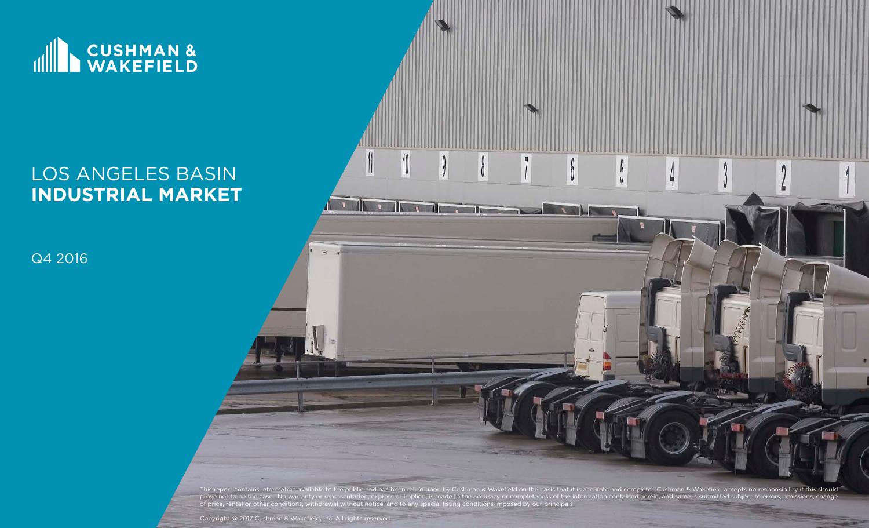

# LOS ANGELES BASIN **INDUSTRIAL MARKET**

Q4 2016



Copyright @ 2017 Cushman & Wakefield, Inc. All rights reserved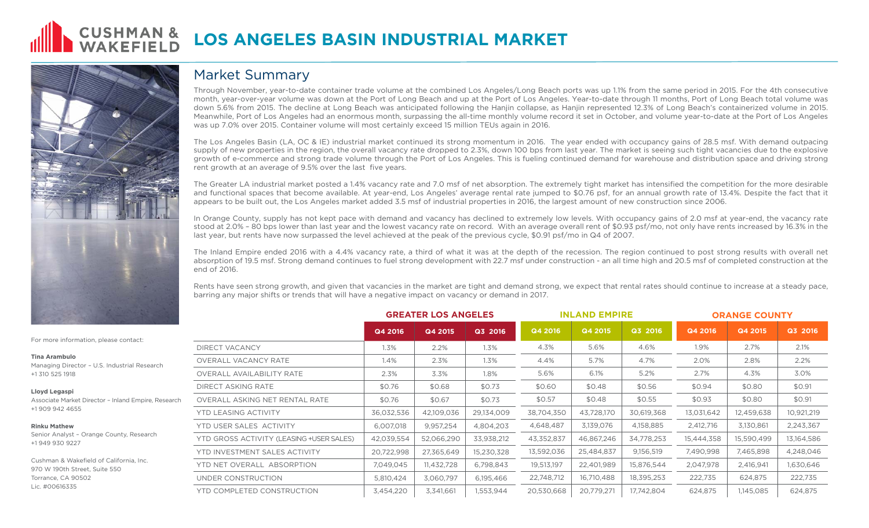



### Market Summary

Through November, year-to-date container trade volume at the combined Los Angeles/Long Beach ports was up 1.1% from the same period in 2015. For the 4th consecutive month, year-over-year volume was down at the Port of Long Beach and up at the Port of Los Angeles. Year-to-date through 11 months, Port of Long Beach total volume was down 5.6% from 2015. The decline at Long Beach was anticipated following the Hanjin collapse, as Hanjin represented 12.3% of Long Beach's containerized volume in 2015. Meanwhile, Port of Los Angeles had an enormous month, surpassing the all-time monthly volume record it set in October, and volume year-to-date at the Port of Los Angeles was up 7.0% over 2015. Container volume will most certainly exceed 15 million TEUs again in 2016.

The Los Angeles Basin (LA, OC & IE) industrial market continued its strong momentum in 2016. The year ended with occupancy gains of 28.5 msf. With demand outpacing supply of new properties in the region, the overall vacancy rate dropped to 2.3%, down 100 bps from last year. The market is seeing such tight vacancies due to the explosive growth of e-commerce and strong trade volume through the Port of Los Angeles. This is fueling continued demand for warehouse and distribution space and driving strong rent growth at an average of 9.5% over the last five years.

The Greater LA industrial market posted a 1.4% vacancy rate and 7.0 msf of net absorption. The extremely tight market has intensified the competition for the more desirable and functional spaces that become available. At year-end, Los Angeles' average rental rate jumped to \$0.76 psf, for an annual growth rate of 13.4%. Despite the fact that it appears to be built out, the Los Angeles market added 3.5 msf of industrial properties in 2016, the largest amount of new construction since 2006.

In Orange County, supply has not kept pace with demand and vacancy has declined to extremely low levels. With occupancy gains of 2.0 msf at year-end, the vacancy rate stood at 2.0% – 80 bps lower than last year and the lowest vacancy rate on record. With an average overall rent of \$0.93 psf/mo, not only have rents increased by 16.3% in the last year, but rents have now surpassed the level achieved at the peak of the previous cycle, \$0.91 psf/mo in Q4 of 2007.

The Inland Empire ended 2016 with a 4.4% vacancy rate, a third of what it was at the depth of the recession. The region continued to post strong results with overall net absorption of 19.5 msf. Strong demand continues to fuel strong development with 22.7 msf under construction - an all time high and 20.5 msf of completed construction at the end of 2016.

Rents have seen strong growth, and given that vacancies in the market are tight and demand strong, we expect that rental rates should continue to increase at a steady pace, barring any major shifts or trends that will have a negative impact on vacancy or demand in 2017.

|                                                                                                                     | <b>GREATER LOS ANGELES</b> |            |            | <b>INLAND EMPIRE</b> |            |            | <b>ORANGE COUNTY</b> |            |            |  |
|---------------------------------------------------------------------------------------------------------------------|----------------------------|------------|------------|----------------------|------------|------------|----------------------|------------|------------|--|
|                                                                                                                     | Q4 2016                    | Q4 2015    | Q3 2016    | Q4 2016              | Q4 2015    | Q3 2016    | Q4 2016              | Q4 2015    | Q3 2016    |  |
| <b>DIRECT VACANCY</b>                                                                                               | 1.3%                       | 2.2%       | 1.3%       | 4.3%                 | 5.6%       | 4.6%       | 1.9%                 | 2.7%       | 2.1%       |  |
| <b>OVERALL VACANCY RATE</b>                                                                                         | 1.4%                       | 2.3%       | 1.3%       | 4.4%                 | 5.7%       | 4.7%       | 2.0%                 | 2.8%       | 2.2%       |  |
| <b>OVERALL AVAILABILITY RATE</b>                                                                                    | 2.3%                       | 3.3%       | 1.8%       | 5.6%                 | 6.1%       | 5.2%       | 2.7%                 | 4.3%       | 3.0%       |  |
| <b>DIRECT ASKING RATE</b>                                                                                           | \$0.76                     | \$0.68     | \$0.73     | \$0.60               | \$0.48     | \$0.56     | \$0.94               | \$0.80     | \$0.91     |  |
| OVERALL ASKING NET RENTAL RATE<br>or - Inland Empire, Research<br><b>YTD LEASING ACTIVITY</b>                       | \$0.76                     | \$0.67     | \$0.73     | \$0.57               | \$0.48     | \$0.55     | \$0.93               | \$0.80     | \$0.91     |  |
|                                                                                                                     | 36,032,536                 | 42,109,036 | 29,134,009 | 38,704,350           | 43,728,170 | 30,619,368 | 13,031,642           | 12,459,638 | 10,921,219 |  |
| YTD USER SALES ACTIVITY<br>e County, Research<br>YTD GROSS ACTIVITY (LEASING +USER SALES)                           | 6,007,018                  | 9,957,254  | 4,804,203  | 4,648,487            | 3,139,076  | 4,158,885  | 2,412,716            | 3,130,861  | 2,243,367  |  |
|                                                                                                                     | 42,039,554                 | 52,066,290 | 33,938,212 | 43,352,837           | 46,867,246 | 34,778,253 | 15,444,358           | 15,590,499 | 13,164,586 |  |
| YTD INVESTMENT SALES ACTIVITY<br>of California, Inc.<br>YTD NET OVERALL ABSORPTION<br>ite 550<br>UNDER CONSTRUCTION | 20,722,998                 | 27,365,649 | 15,230,328 | 13,592,036           | 25,484,837 | 9,156,519  | 7,490,998            | 7,465,898  | 4,248,046  |  |
|                                                                                                                     | 7,049,045                  | 11,432,728 | 6,798,843  | 19,513,197           | 22,401,989 | 15,876,544 | 2,047,978            | 2,416,941  | 1,630,646  |  |
|                                                                                                                     | 5,810,424                  | 3,060,797  | 6,195,466  | 22,748,712           | 16,710,488 | 18,395,253 | 222,735              | 624,875    | 222,735    |  |
| YTD COMPLETED CONSTRUCTION                                                                                          | 3,454,220                  | 3,341,661  | 1,553,944  | 20,530,668           | 20,779,271 | 17,742,804 | 624,875              | 1,145,085  | 624,875    |  |
|                                                                                                                     |                            |            |            |                      |            |            |                      |            |            |  |

For more information.

#### **Tina Arambulo**

Managing Director - U. +1 310 525 1918

#### **Lloyd Legaspi**

Associate Market Direct +1 909 942 4655

#### **Rinku Mathew**

Senior Analyst - Orange +1 949 930 9227

Cushman & Wakefield of 970 W 190th Street, Suite Torrance, CA 90502 Lic. #00616335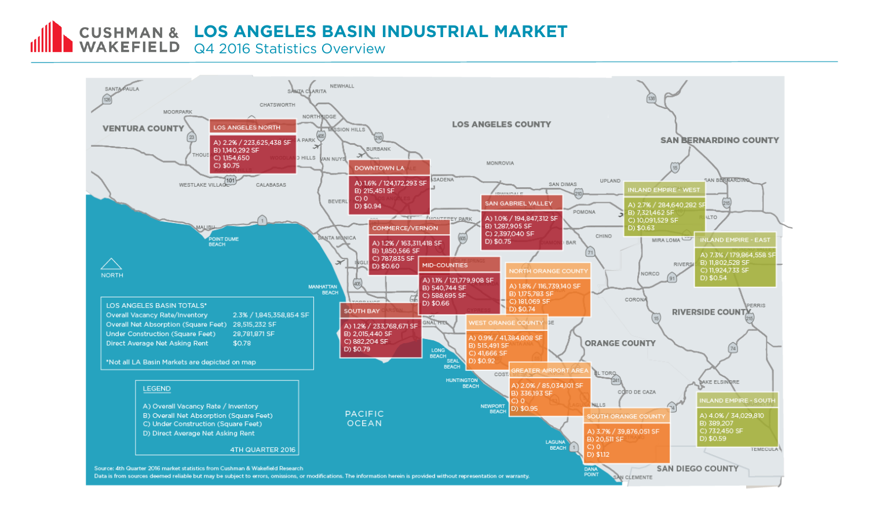**CUSHMAN & LOS ANGELES BASIN INDUSTRIAL MARKET** 

WAKEFIELD Q4 2016 Statistics Overview